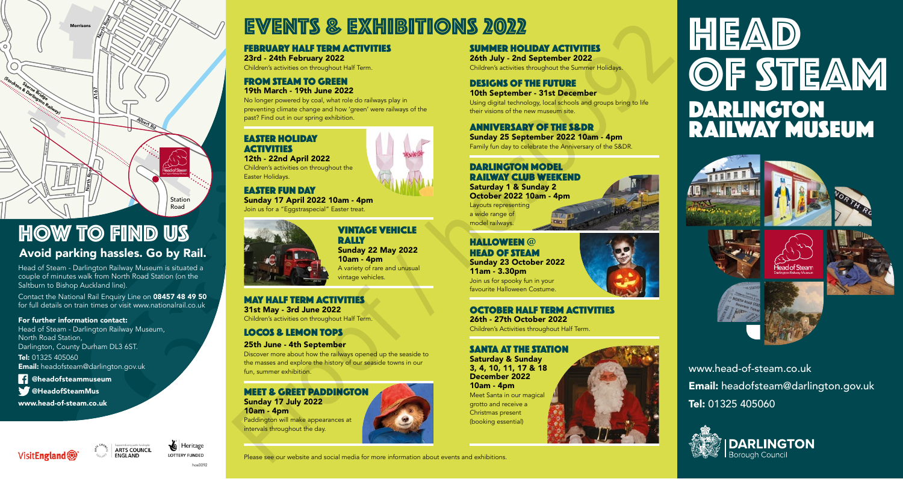

# HOW TO FIND US

Avoid parking hassles. Go by Rail. Stephenson St

Head of Steam - Darlington Railway Museum is situated a Head of Steam - Darlington Railway Museum is situated<br>couple of minutes walk from North Road Station (on the<br>Cold Saltburn to Bishop Auckland line).

Contact the National Rail Enquiry Line on 08457 48 49 50 for full details on train times or visit www.nationalrail.co.uk

For further information contact:

Head of Steam - Darlington Railway Museum, North Road Station, Darlington, County Durham DL3 6ST. Tel: 01325 405060

Email: headofsteam@darlington.gov.uk

**1** @headofsteammuseum

**W** @HeadofSteamMus

www.head-of-steam.co.uk





## EVENTS & EXHIBITIONS 2022 Aldam St James St

### Edmund St 23rd - 24th February 2022 **FEBRUARY HALF TERM ACTIVITIES**

Children's activities on throughout Half Term.

## FROM STEAM TO GREEN 19th March - 19th June 2022

No longer powered by coal, what role do railways play in preventing climate change and how 'green' were railways of the past? Find out in our spring exhibition.

## EASTER HOLIDAY **ACTIVITIES**

Children's activities on throughout the 12th - 22nd April 2022 Easter Holidays.

EASTER FUN DAY

 $\overline{\phantom{a}}$ 

Join us for a "Eggstraspecial" Easter treat.



MAY HALF TERM ACTIVITIES 31st May - 3rd June 2022

Children's activities on throughout Half Term.

LOCOS & LEMON TOPS

25th June - 4th September Discover more about how the railways opened up the seaside to the masses and explore the history of our seaside towns in our fun, summer exhibition.

Please see our website and social media for more information about events and exhibitions.

MEET & GREET PADDINGTON Sunday 17 July 2022 10am - 4pm Paddington will make appearances at intervals throughout the day.

SUMMER HOLIDAY ACTIVITIES 26th July - 2nd September 2022 Children's activities throughout the Summer Holidays.

### DESIGNS OF THE FUTURE 10th September - 31st December

Using digital technology, local schools and groups bring to life their visions of the new museum site.

ANNIVERSARY OF THE S&DR Sunday 25 September 2022 10am - 4pm Family fun day to celebrate the Anniversary of the S&DR.

## DARLINGTON MODEL RAILWAY CLUB WEEKEND

Saturday 1 & Sunday 2 October 2022 10am - 4pm Layouts representing a wide range of model railways.

### HALLOWEEN @ HEAD OF STEAM Sunday 23 October 2022 11am - 3.30pm

Join us for spooky fun in your favourite Halloween Costume.

OCTOBER HALF TERM ACTIVITIES 26th - 27th October 2022

## Children's Activities throughout Half Term.

## SANTA AT THE STATION

Saturday & Sunday 3, 4, 10, 11, 17 & 18 December 2022 10am - 4pm Meet Santa in our magical grotto and receive a Christmas present (booking essential)

HEAD OF STEAM DARLINGTON RAILWAY MUSEUM







www.head-of-steam.co.uk Email: headofsteam@darlington.gov.uk Tel: 01325 405060



hos0092